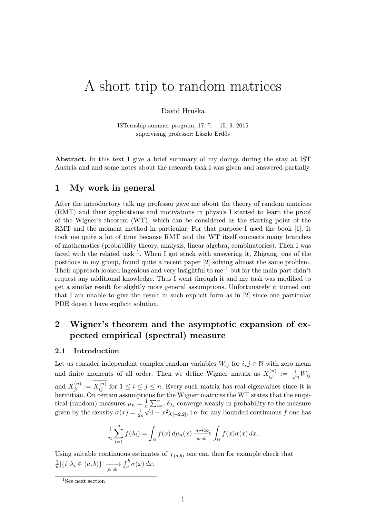# A short trip to random matrices

David Hruška

ISTernship summer program, 17. 7. – 15. 9. 2015 supervising professor: Lászlo Erdős

Abstract. In this text I give a brief summary of my doings during the stay at IST Austria and and some notes about the research task I was given and answered partially.

# 1 My work in general

After the introductory talk my professor gave me about the theory of random matrices (RMT) and their applications and motivations in physics I started to learn the proof of the Wigner's theorem (WT), which can be considered as the starting point of the RMT and the moment method in particular. For that purpose I used the book [1]. It took me quite a lot of time because RMT and the WT itself connects many branches of mathematics (probability theory, analysis, linear algebra, combinatorics). Then I was faced with the related task  $<sup>1</sup>$ . When I got stuck with answering it, Zhigang, one of the</sup> postdocs in my group, found quite a recent paper [2] solving almost the same problem. Their approach looked ingenious and very insightful to me<sup> $1$ </sup> but for the main part didn't request any additional knowledge. Thus I went through it and my task was modified to get a similar result for slightly more general assumptions. Unfortunately it turned out that I am unable to give the result in such explicit form as in [2] since one particular PDE doesn't have explicit solution.

# 2 Wigner's theorem and the asymptotic expansion of expected empirical (spectral) measure

#### 2.1 Introduction

Let us consider independent complex random variables  $W_{ij}$  for  $i, j \in \mathbb{N}$  with zero mean and finite moments of all order. Then we define Wigner matrix as  $X_{ij}^{(n)} := \frac{1}{\sqrt{n}} W_{ij}$ and  $X_{ji}^{(n)} := X_{ij}^{(n)}$  for  $1 \leq i \leq j \leq n$ . Every such matrix has real eigenvalues since it is hermitian. On certain assumptions for the Wigner matrices the WT states that the empirical (random) measures  $\mu_n = \frac{1}{n}$  $\frac{1}{n} \sum_{i=1}^{n} \delta_{\lambda_i}$  converge weakly in probability to the measure given by the density  $\sigma(x) = \frac{1}{2\pi}$  $\overline{n}$  $\sqrt{4-x^2}\chi_{[-2,2]},$  i.e. for any bounded continuous  $f$  one has

$$
\frac{1}{n}\sum_{i=1}^n f(\lambda_i) = \int_{\mathbb{R}} f(x) d\mu_n(x) \xrightarrow[prob]{n \to \infty} \int_{\mathbb{R}} f(x)\sigma(x) dx.
$$

Using suitable continuous estimates of  $\chi_{(a,b)}$  one can then for example check that 1  $\frac{1}{n} |\{i | \lambda_i \in (a, b)\}| \longrightarrow \int_a^b \sigma(x) dx.$ 

<sup>&</sup>lt;sup>1</sup>See next section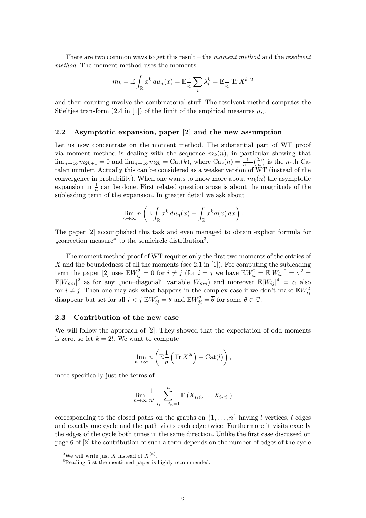There are two common ways to get this result – the moment method and the resolvent method. The moment method uses the moments

$$
m_k = \mathbb{E} \int_{\mathbb{R}} x^k d\mu_n(x) = \mathbb{E} \frac{1}{n} \sum_i \lambda_i^k = \mathbb{E} \frac{1}{n} \operatorname{Tr} X^{k-2}
$$

and their counting involve the combinatorial stuff. The resolvent method computes the Stieltjes transform (2.4 in [1]) of the limit of the empirical measures  $\mu_n$ .

### 2.2 Asymptotic expansion, paper [2] and the new assumption

Let us now concentrate on the moment method. The substantial part of WT proof via moment method is dealing with the sequence  $m_k(n)$ , in particular showing that  $\lim_{n\to\infty} m_{2k+1} = 0$  and  $\lim_{n\to\infty} m_{2k} = \text{Cat}(k)$ , where  $\text{Cat}(n) = \frac{1}{n+1} {2n \choose n}$  $\binom{2n}{n}$  is the *n*-th Catalan number. Actually this can be considered as a weaker version of WT (instead of the convergence in probability). When one wants to know more about  $m_k(n)$  the asymptotic expansion in  $\frac{1}{n}$  can be done. First related question arose is about the magnitude of the subleading term of the expansion. In greater detail we ask about

$$
\lim_{n\to\infty} n\left(\mathbb{E}\int_{\mathbb{R}} x^k d\mu_n(x) - \int_{\mathbb{R}} x^k \sigma(x) dx\right).
$$

The paper [2] accomplished this task and even managed to obtain explicit formula for "correction measure" to the semicircle distribution<sup>3</sup>.

The moment method proof of WT requires only the first two moments of the entries of X and the boundedness of all the moments (see 2.1 in [1]). For computing the subleading term the paper [2] uses  $\mathbb{E}W_{ij}^2 = 0$  for  $i \neq j$  (for  $i = j$  we have  $\mathbb{E}W_{ii}^2 = \mathbb{E}|W_{ii}|^2 = \sigma^2 =$  $\mathbb{E}|W_{mn}|^2$  as for any "non-diagonal" variable  $W_{mn}$ ) and moreover  $\mathbb{E}|W_{ij}|^4 = \alpha$  also for  $i \neq j$ . Then one may ask what happens in the complex case if we don't make  $\mathbb{E}W_{ij}^2$ disappear but set for all  $i < j$   $\mathbb{E} W_{ij}^2 = \theta$  and  $\mathbb{E} W_{ji}^2 = \overline{\theta}$  for some  $\theta \in \mathbb{C}$ .

#### 2.3 Contribution of the new case

We will follow the approach of [2]. They showed that the expectation of odd moments is zero, so let  $k = 2l$ . We want to compute

$$
\lim_{n \to \infty} n\left(\mathbb{E}\frac{1}{n}\left(\text{Tr} X^{2l}\right) - \text{Cat}(l)\right),\,
$$

more specifically just the terms of

$$
\lim_{n \to \infty} \frac{1}{n^l} \sum_{i_1, ..., i_n = 1}^n \mathbb{E} (X_{i_1 i_2} \dots X_{i_{2l} i_1})
$$

corresponding to the closed paths on the graphs on  $\{1, \ldots, n\}$  having l vertices, l edges and exactly one cycle and the path visits each edge twice. Furthermore it visits exactly the edges of the cycle both times in the same direction. Unlike the first case discussed on page 6 of [2] the contribution of such a term depends on the number of edges of the cycle

<sup>&</sup>lt;sup>2</sup>We will write just X instead of  $X^{(n)}$ .

<sup>3</sup>Reading first the mentioned paper is highly recommended.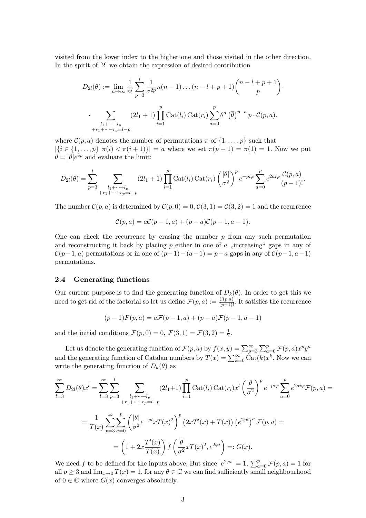visited from the lower index to the higher one and those visited in the other direction. In the spirit of [2] we obtain the expression of desired contribution

$$
D_{2l}(\theta) := \lim_{n \to \infty} \frac{1}{n^l} \sum_{p=3}^l \frac{1}{\sigma^{2p}} n(n-1) \dots (n-l+p+1) \binom{n-l+p+1}{p}.
$$

$$
\sum_{\substack{l_1 + \dots + l_p \\ r_1 + \dots + r_p = l-p}} (2l_1 + 1) \prod_{i=1}^p \text{Cat}(l_i) \text{Cat}(r_i) \sum_{a=0}^p \theta^a (\overline{\theta})^{p-a} p \cdot \mathcal{C}(p, a).
$$

where  $\mathcal{C}(p, a)$  denotes the number of permutations  $\pi$  of  $\{1, \ldots, p\}$  such that  $|\{i \in \{1, ..., p\} | \pi(i) < \pi(i+1)\}| = a$  where we set  $\pi(p+1) = \pi(1) = 1$ . Now we put  $\theta = |\theta|e^{i\varphi}$  and evaluate the limit:

$$
D_{2l}(\theta) = \sum_{p=3}^{l} \sum_{\substack{l_1 + \dots + l_p \\ +r_1 + \dots + r_p = l - p}} (2l_1 + 1) \prod_{i=1}^{p} \text{Cat}(l_i) \, \text{Cat}(r_i) \left(\frac{|\theta|}{\sigma^2}\right)^p e^{-pi\varphi} \sum_{a=0}^{p} e^{2ai\varphi} \frac{\mathcal{C}(p, a)}{(p-1)!}.
$$

The number  $\mathcal{C}(p, a)$  is determined by  $\mathcal{C}(p, 0) = 0$ ,  $\mathcal{C}(3, 1) = \mathcal{C}(3, 2) = 1$  and the recurrence

$$
\mathcal{C}(p,a) = a\mathcal{C}(p-1,a) + (p-a)\mathcal{C}(p-1,a-1).
$$

One can check the recurrence by erasing the number  $p$  from any such permutation and reconstructing it back by placing  $p$  either in one of  $a$  "increasing" gaps in any of  $\mathcal{C}(p-1, a)$  permutations or in one of  $(p-1)-(a-1)=p-a$  gaps in any of  $\mathcal{C}(p-1, a-1)$ permutations.

#### 2.4 Generating functions

Our current purpose is to find the generating function of  $D_k(\theta)$ . In order to get this we need to get rid of the factorial so let us define  $\mathcal{F}(p, a) := \frac{\mathcal{C}(p, a)}{(p-1)!}$ . It satisfies the recurrence

$$
(p-1)F(p,a) = aF(p-1,a) + (p-a)F(p-1,a-1)
$$

and the initial conditions  $\mathcal{F}(p, 0) = 0$ ,  $\mathcal{F}(3, 1) = \mathcal{F}(3, 2) = \frac{1}{2}$ .

Let us denote the generating function of  $\mathcal{F}(p,a)$  by  $f(x,y) = \sum_{p=3}^{\infty} \sum_{a=0}^{p} \mathcal{F}(p,a) x^p y^a$ and the generating function of Catalan numbers by  $T(x) = \sum_{k=0}^{\infty} \text{Cat}(k)x^k$ . Now we can write the generating function of  $D_k(\theta)$  as

$$
\sum_{l=3}^{\infty} D_{2l}(\theta) x^{l} = \sum_{l=3}^{\infty} \sum_{p=3}^{l} \sum_{\substack{l_1 + \dots + l_p \\ +r_1 + \dots + r_p = l - p}} (2l_1 + 1) \prod_{i=1}^{p} \text{Cat}(l_i) \text{Cat}(r_i) x^{l} \left(\frac{|\theta|}{\sigma^2}\right)^p e^{-pi\varphi} \sum_{a=0}^{p} e^{2ai\varphi} \mathcal{F}(p, a) =
$$

$$
= \frac{1}{T(x)} \sum_{p=3}^{\infty} \sum_{a=0}^{p} \left(\frac{|\theta|}{\sigma^2} e^{-\varphi i} x T(x)^2\right)^p \left(2x T'(x) + T(x)\right) \left(e^{2\varphi i}\right)^a \mathcal{F}(p, a) =
$$

$$
= \left(1 + 2x \frac{T'(x)}{T(x)}\right) f\left(\frac{\overline{\theta}}{\sigma^2} x T(x)^2, e^{2\varphi i}\right) =: G(x).
$$

We need f to be defined for the inputs above. But since  $|e^{2\varphi i}| = 1$ ,  $\sum_{a=0}^{p} \mathcal{F}(p, a) = 1$  for all  $p \geq 3$  and  $\lim_{x\to 0} T(x) = 1$ , for any  $\theta \in \mathbb{C}$  we can find sufficiently small neighbourhood of  $0 \in \mathbb{C}$  where  $G(x)$  converges absolutely.